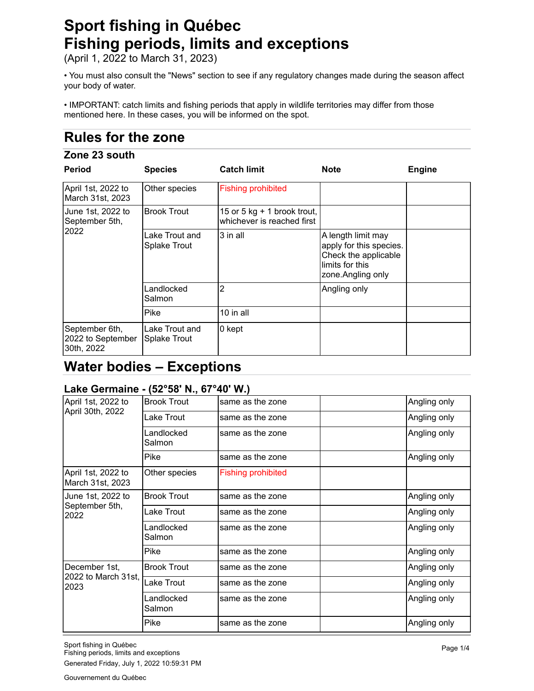# **Sport fishing in Québec Fishing periods, limits and exceptions**

(April 1, 2022 to March 31, 2023)

• You must also consult the "News" section to see if any regulatory changes made during the season affect your body of water.

• IMPORTANT: catch limits and fishing periods that apply in wildlife territories may differ from those mentioned here. In these cases, you will be informed on the spot.

# **Rules for the zone**

### **Zone 23 south**

| <b>Period</b>                                     | <b>Species</b>                 | <b>Catch limit</b>                                          | <b>Note</b>                                                                                                    | <b>Engine</b> |
|---------------------------------------------------|--------------------------------|-------------------------------------------------------------|----------------------------------------------------------------------------------------------------------------|---------------|
| April 1st, 2022 to<br>March 31st, 2023            | Other species                  | <b>Fishing prohibited</b>                                   |                                                                                                                |               |
| June 1st, 2022 to<br>September 5th,<br>2022       | <b>Brook Trout</b>             | 15 or 5 kg $+$ 1 brook trout,<br>whichever is reached first |                                                                                                                |               |
|                                                   | Lake Trout and<br>Splake Trout | 3 in all                                                    | A length limit may<br>apply for this species.<br>Check the applicable<br>limits for this<br>zone. Angling only |               |
|                                                   | Landlocked<br>Salmon           | 2                                                           | Angling only                                                                                                   |               |
|                                                   | Pike                           | 10 in all                                                   |                                                                                                                |               |
| September 6th,<br>2022 to September<br>30th, 2022 | Lake Trout and<br>Splake Trout | 0 kept                                                      |                                                                                                                |               |

## **Water bodies – Exceptions**

### **Lake Germaine - (52°58' N., 67°40' W.)**

| April 1st, 2022 to                     | <b>Brook Trout</b>   | same as the zone          | Angling only |
|----------------------------------------|----------------------|---------------------------|--------------|
| April 30th, 2022                       |                      |                           |              |
|                                        | Lake Trout           | same as the zone          | Angling only |
|                                        | Landlocked<br>Salmon | same as the zone          | Angling only |
|                                        | Pike                 | same as the zone          | Angling only |
| April 1st, 2022 to<br>March 31st, 2023 | Other species        | <b>Fishing prohibited</b> |              |
| June 1st, 2022 to                      | <b>Brook Trout</b>   | same as the zone          | Angling only |
| September 5th,<br>2022                 | Lake Trout           | same as the zone          | Angling only |
|                                        | Landlocked<br>Salmon | same as the zone          | Angling only |
|                                        | Pike                 | same as the zone          | Angling only |
| December 1st,                          | <b>Brook Trout</b>   | same as the zone          | Angling only |
| 2022 to March 31st,<br>2023            | Lake Trout           | same as the zone          | Angling only |
|                                        | Landlocked<br>Salmon | same as the zone          | Angling only |
|                                        | Pike                 | same as the zone          | Angling only |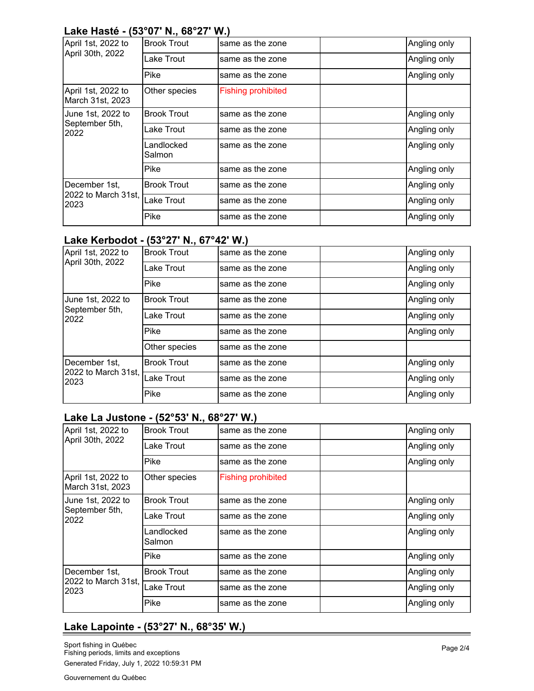#### **Lake Hasté - (53°07' N., 68°27' W.)**

| April 1st, 2022 to                           | <b>Brook Trout</b>   | same as the zone          | Angling only |
|----------------------------------------------|----------------------|---------------------------|--------------|
| April 30th, 2022                             | Lake Trout           | same as the zone          | Angling only |
|                                              | Pike                 | same as the zone          | Angling only |
| April 1st, 2022 to<br>March 31st, 2023       | Other species        | <b>Fishing prohibited</b> |              |
| June 1st, 2022 to                            | <b>Brook Trout</b>   | same as the zone          | Angling only |
| September 5th,<br>2022                       | Lake Trout           | same as the zone          | Angling only |
|                                              | Landlocked<br>Salmon | same as the zone          | Angling only |
|                                              | Pike                 | same as the zone          | Angling only |
| December 1st,<br>2022 to March 31st,<br>2023 | <b>Brook Trout</b>   | same as the zone          | Angling only |
|                                              | Lake Trout           | same as the zone          | Angling only |
|                                              | Pike                 | same as the zone          | Angling only |

#### **Lake Kerbodot - (53°27' N., 67°42' W.)**

| April 1st, 2022 to                           | <b>Brook Trout</b> | same as the zone | Angling only |
|----------------------------------------------|--------------------|------------------|--------------|
| April 30th, 2022                             | Lake Trout         | same as the zone | Angling only |
|                                              | Pike               | same as the zone | Angling only |
| June 1st, 2022 to                            | <b>Brook Trout</b> | same as the zone | Angling only |
| September 5th,<br>2022                       | Lake Trout         | same as the zone | Angling only |
|                                              | Pike               | same as the zone | Angling only |
|                                              | Other species      | same as the zone |              |
| December 1st,<br>2022 to March 31st,<br>2023 | <b>Brook Trout</b> | same as the zone | Angling only |
|                                              | Lake Trout         | same as the zone | Angling only |
|                                              | Pike               | same as the zone | Angling only |

#### **Lake La Justone - (52°53' N., 68°27' W.)**

| April 1st, 2022 to                           | <b>Brook Trout</b>     | same as the zone          | Angling only |
|----------------------------------------------|------------------------|---------------------------|--------------|
| April 30th, 2022                             | Lake Trout             | same as the zone          | Angling only |
|                                              | Pike                   | same as the zone          | Angling only |
| April 1st, 2022 to<br>March 31st, 2023       | Other species          | <b>Fishing prohibited</b> |              |
| June 1st, 2022 to                            | <b>Brook Trout</b>     | same as the zone          | Angling only |
| September 5th,<br>2022                       | <sub>-</sub> ake Trout | same as the zone          | Angling only |
|                                              | _andlocked<br>Salmon   | same as the zone          | Angling only |
|                                              | Pike                   | same as the zone          | Angling only |
| December 1st,<br>2022 to March 31st,<br>2023 | <b>Brook Trout</b>     | same as the zone          | Angling only |
|                                              | Lake Trout             | same as the zone          | Angling only |
|                                              | Pike                   | same as the zone          | Angling only |

## **Lake Lapointe - (53°27' N., 68°35' W.)**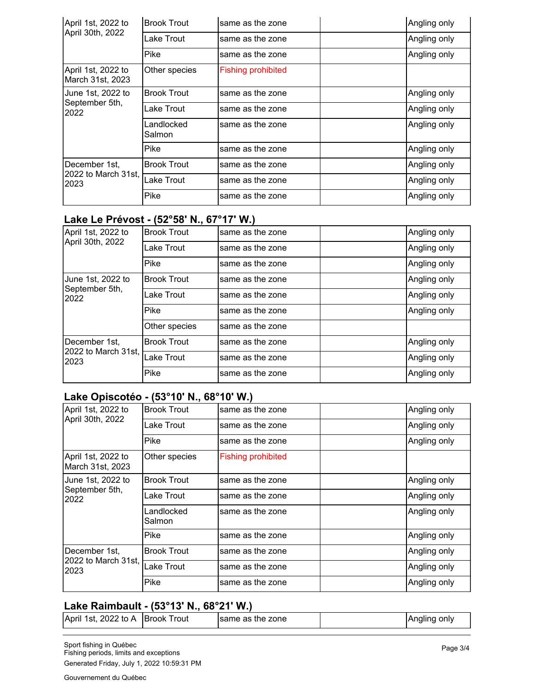| April 1st, 2022 to                           | <b>Brook Trout</b>   | same as the zone          | Angling only |
|----------------------------------------------|----------------------|---------------------------|--------------|
| April 30th, 2022                             | Lake Trout           | same as the zone          | Angling only |
|                                              | Pike                 | same as the zone          | Angling only |
| April 1st, 2022 to<br>March 31st, 2023       | Other species        | <b>Fishing prohibited</b> |              |
| June 1st, 2022 to                            | <b>Brook Trout</b>   | same as the zone          | Angling only |
| September 5th,<br>2022                       | Lake Trout           | same as the zone          | Angling only |
|                                              | Landlocked<br>Salmon | same as the zone          | Angling only |
|                                              | Pike                 | same as the zone          | Angling only |
| December 1st,<br>2022 to March 31st,<br>2023 | <b>Brook Trout</b>   | same as the zone          | Angling only |
|                                              | Lake Trout           | same as the zone          | Angling only |
|                                              | Pike                 | same as the zone          | Angling only |

## **Lake Le Prévost - (52°58' N., 67°17' W.)**

| April 1st, 2022 to                           | <b>Brook Trout</b> | same as the zone | Angling only |
|----------------------------------------------|--------------------|------------------|--------------|
| April 30th, 2022                             | Lake Trout         | same as the zone | Angling only |
|                                              | Pike               | same as the zone | Angling only |
| June 1st, 2022 to                            | <b>Brook Trout</b> | same as the zone | Angling only |
| September 5th,<br>2022                       | Lake Trout         | same as the zone | Angling only |
|                                              | Pike               | same as the zone | Angling only |
|                                              | Other species      | same as the zone |              |
| December 1st,<br>2022 to March 31st,<br>2023 | <b>Brook Trout</b> | same as the zone | Angling only |
|                                              | Lake Trout         | same as the zone | Angling only |
|                                              | Pike               | same as the zone | Angling only |

## **Lake Opiscotéo - (53°10' N., 68°10' W.)**

| April 1st, 2022 to                           | <b>Brook Trout</b>   | same as the zone          | Angling only |
|----------------------------------------------|----------------------|---------------------------|--------------|
| April 30th, 2022                             | Lake Trout           | same as the zone          | Angling only |
|                                              | Pike                 | same as the zone          | Angling only |
| April 1st, 2022 to<br>March 31st, 2023       | Other species        | <b>Fishing prohibited</b> |              |
| June 1st, 2022 to                            | <b>Brook Trout</b>   | same as the zone          | Angling only |
| September 5th,<br>2022                       | Lake Trout           | same as the zone          | Angling only |
|                                              | Landlocked<br>Salmon | same as the zone          | Angling only |
|                                              | Pike                 | same as the zone          | Angling only |
| December 1st,<br>2022 to March 31st,<br>2023 | <b>Brook Trout</b>   | same as the zone          | Angling only |
|                                              | Lake Trout           | same as the zone          | Angling only |
|                                              | Pike                 | same as the zone          | Angling only |

## **Lake Raimbault - (53°13' N., 68°21' W.)**

| 2022 to A<br>April 1st, | <b>Brook</b><br>Trout | same as the zone |  | Angling only |
|-------------------------|-----------------------|------------------|--|--------------|
|-------------------------|-----------------------|------------------|--|--------------|